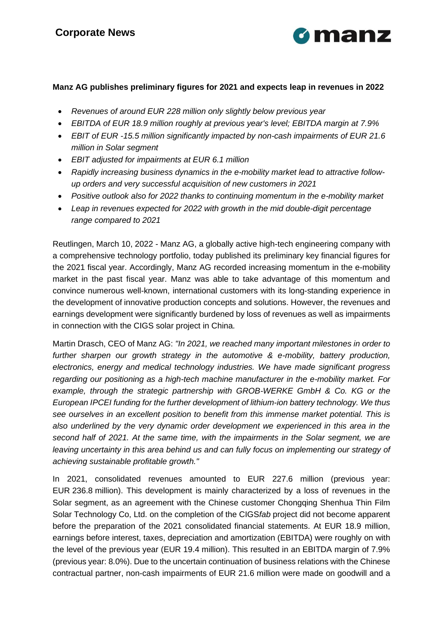

## **Manz AG publishes preliminary figures for 2021 and expects leap in revenues in 2022**

- *Revenues of around EUR 228 million only slightly below previous year*
- *EBITDA of EUR 18.9 million roughly at previous year's level; EBITDA margin at 7.9%*
- *EBIT of EUR -15.5 million significantly impacted by non-cash impairments of EUR 21.6 million in Solar segment*
- *EBIT adjusted for impairments at EUR 6.1 million*
- *Rapidly increasing business dynamics in the e-mobility market lead to attractive followup orders and very successful acquisition of new customers in 2021*
- *Positive outlook also for 2022 thanks to continuing momentum in the e-mobility market*
- *Leap in revenues expected for 2022 with growth in the mid double-digit percentage range compared to 2021*

Reutlingen, March 10, 2022 - Manz AG, a globally active high-tech engineering company with a comprehensive technology portfolio, today published its preliminary key financial figures for the 2021 fiscal year. Accordingly, Manz AG recorded increasing momentum in the e-mobility market in the past fiscal year. Manz was able to take advantage of this momentum and convince numerous well-known, international customers with its long-standing experience in the development of innovative production concepts and solutions. However, the revenues and earnings development were significantly burdened by loss of revenues as well as impairments in connection with the CIGS solar project in China.

Martin Drasch, CEO of Manz AG: *"In 2021, we reached many important milestones in order to further sharpen our growth strategy in the automotive & e-mobility, battery production, electronics, energy and medical technology industries. We have made significant progress regarding our positioning as a high-tech machine manufacturer in the e-mobility market. For example, through the strategic partnership with GROB-WERKE GmbH & Co. KG or the European IPCEI funding for the further development of lithium-ion battery technology. We thus see ourselves in an excellent position to benefit from this immense market potential. This is also underlined by the very dynamic order development we experienced in this area in the second half of 2021. At the same time, with the impairments in the Solar segment, we are leaving uncertainty in this area behind us and can fully focus on implementing our strategy of achieving sustainable profitable growth."*

In 2021, consolidated revenues amounted to EUR 227.6 million (previous year: EUR 236.8 million). This development is mainly characterized by a loss of revenues in the Solar segment, as an agreement with the Chinese customer Chongqing Shenhua Thin Film Solar Technology Co, Ltd. on the completion of the CIGS*fab* project did not become apparent before the preparation of the 2021 consolidated financial statements. At EUR 18.9 million, earnings before interest, taxes, depreciation and amortization (EBITDA) were roughly on with the level of the previous year (EUR 19.4 million). This resulted in an EBITDA margin of 7.9% (previous year: 8.0%). Due to the uncertain continuation of business relations with the Chinese contractual partner, non-cash impairments of EUR 21.6 million were made on goodwill and a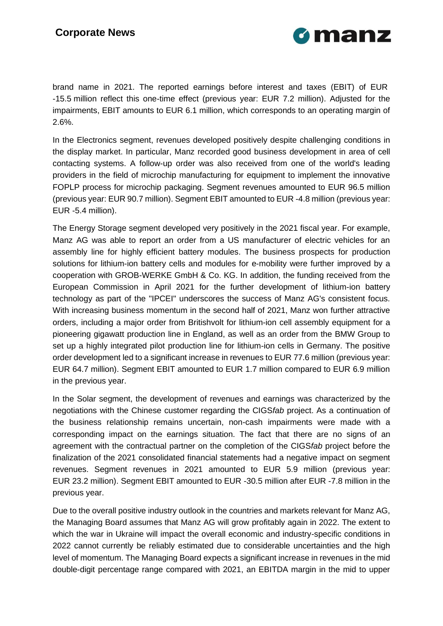

brand name in 2021. The reported earnings before interest and taxes (EBIT) of EUR -15.5 million reflect this one-time effect (previous year: EUR 7.2 million). Adjusted for the impairments, EBIT amounts to EUR 6.1 million, which corresponds to an operating margin of 2.6%.

In the Electronics segment, revenues developed positively despite challenging conditions in the display market. In particular, Manz recorded good business development in area of cell contacting systems. A follow-up order was also received from one of the world's leading providers in the field of microchip manufacturing for equipment to implement the innovative FOPLP process for microchip packaging. Segment revenues amounted to EUR 96.5 million (previous year: EUR 90.7 million). Segment EBIT amounted to EUR -4.8 million (previous year: EUR -5.4 million).

The Energy Storage segment developed very positively in the 2021 fiscal year. For example, Manz AG was able to report an order from a US manufacturer of electric vehicles for an assembly line for highly efficient battery modules. The business prospects for production solutions for lithium-ion battery cells and modules for e-mobility were further improved by a cooperation with GROB-WERKE GmbH & Co. KG. In addition, the funding received from the European Commission in April 2021 for the further development of lithium-ion battery technology as part of the "IPCEI" underscores the success of Manz AG's consistent focus. With increasing business momentum in the second half of 2021, Manz won further attractive orders, including a major order from Britishvolt for lithium-ion cell assembly equipment for a pioneering gigawatt production line in England, as well as an order from the BMW Group to set up a highly integrated pilot production line for lithium-ion cells in Germany. The positive order development led to a significant increase in revenues to EUR 77.6 million (previous year: EUR 64.7 million). Segment EBIT amounted to EUR 1.7 million compared to EUR 6.9 million in the previous year.

In the Solar segment, the development of revenues and earnings was characterized by the negotiations with the Chinese customer regarding the CIGS*fab* project. As a continuation of the business relationship remains uncertain, non-cash impairments were made with a corresponding impact on the earnings situation. The fact that there are no signs of an agreement with the contractual partner on the completion of the CIGS*fab* project before the finalization of the 2021 consolidated financial statements had a negative impact on segment revenues. Segment revenues in 2021 amounted to EUR 5.9 million (previous year: EUR 23.2 million). Segment EBIT amounted to EUR -30.5 million after EUR -7.8 million in the previous year.

Due to the overall positive industry outlook in the countries and markets relevant for Manz AG, the Managing Board assumes that Manz AG will grow profitably again in 2022. The extent to which the war in Ukraine will impact the overall economic and industry-specific conditions in 2022 cannot currently be reliably estimated due to considerable uncertainties and the high level of momentum. The Managing Board expects a significant increase in revenues in the mid double-digit percentage range compared with 2021, an EBITDA margin in the mid to upper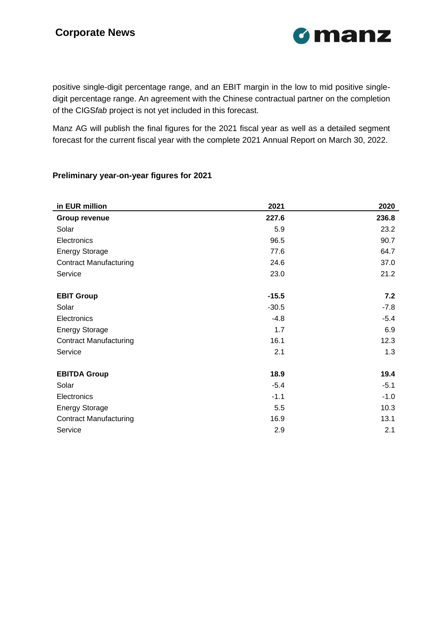

positive single-digit percentage range, and an EBIT margin in the low to mid positive singledigit percentage range. An agreement with the Chinese contractual partner on the completion of the CIGS*fab* project is not yet included in this forecast.

Manz AG will publish the final figures for the 2021 fiscal year as well as a detailed segment forecast for the current fiscal year with the complete 2021 Annual Report on March 30, 2022.

## **Preliminary year-on-year figures for 2021**

| in EUR million                | 2021    | 2020   |
|-------------------------------|---------|--------|
| Group revenue                 | 227.6   | 236.8  |
| Solar                         | 5.9     | 23.2   |
| Electronics                   | 96.5    | 90.7   |
| <b>Energy Storage</b>         | 77.6    | 64.7   |
| <b>Contract Manufacturing</b> | 24.6    | 37.0   |
| Service                       | 23.0    | 21.2   |
|                               |         |        |
| <b>EBIT Group</b>             | $-15.5$ | 7.2    |
| Solar                         | $-30.5$ | $-7.8$ |
| Electronics                   | $-4.8$  | $-5.4$ |
| <b>Energy Storage</b>         | 1.7     | 6.9    |
| <b>Contract Manufacturing</b> | 16.1    | 12.3   |
| Service                       | 2.1     | 1.3    |
| <b>EBITDA Group</b>           | 18.9    | 19.4   |
| Solar                         | $-5.4$  | $-5.1$ |
| Electronics                   | $-1.1$  | $-1.0$ |
| <b>Energy Storage</b>         | 5.5     | 10.3   |
| <b>Contract Manufacturing</b> | 16.9    | 13.1   |
| Service                       | 2.9     | 2.1    |